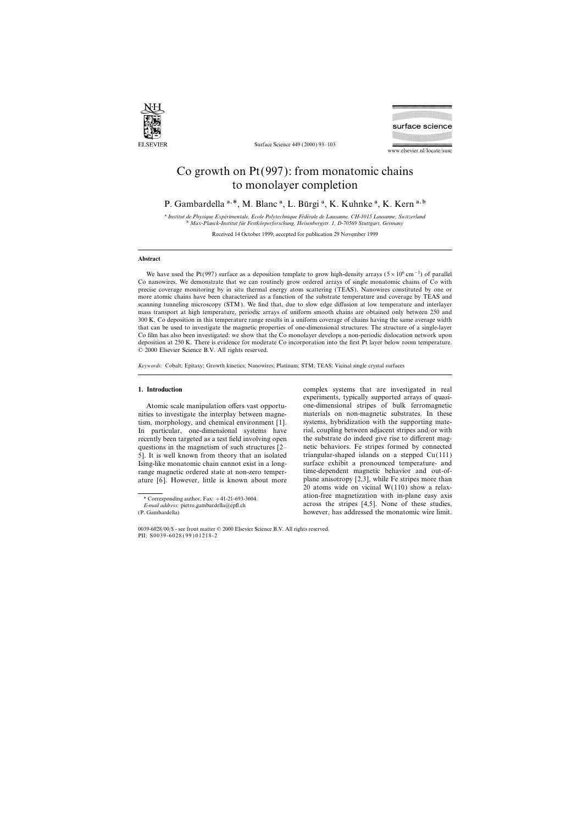

Surface Science 449 (2000) 93–103

surface science

www.elsevier.nl/locate/susc

# Co growth on Pt(997): from monatomic chains to monolayer completion

P. Gambardella a, \*, M. Blanc <sup>a</sup>, L. Bürgi <sup>a</sup>, K. Kuhnke <sup>a</sup>, K. Kern <sup>a, b</sup>

<sup>a</sup> Institut de Physique Expérimentale, Ecole Polytechnique Fédérale de Lausanne, CH-1015 Lausanne, Switzerland b *Max-Planck-Institut fu¨r Festko¨rperforschung, Heisenbergstr. 1, D-70569 Stuttgart, Germany*

Received 14 October 1999; accepted for publication 29 November 1999

## **Abstract**

We have used the Pt(997) surface as a deposition template to grow high-density arrays ( $5 \times 10^6$  cm<sup>-1</sup>) of parallel Co nanowires. We demonstrate that we can routinely grow ordered arrays of single monatomic chains of Co with precise coverage monitoring by in situ thermal energy atom scattering (TEAS). Nanowires constituted by one or more atomic chains have been characterized as a function of the substrate temperature and coverage by TEAS and scanning tunneling microscopy (STM). We find that, due to slow edge diffusion at low temperature and interlayer mass transport at high temperature, periodic arrays of uniform smooth chains are obtained only between 250 and 300 K. Co deposition in this temperature range results in a uniform coverage of chains having the same average width that can be used to investigate the magnetic properties of one-dimensional structures. The structure of a single-layer Co film has also been investigated: we show that the Co monolayer develops a non-periodic dislocation network upon deposition at 250 K. There is evidence for moderate Co incorporation into the first Pt layer below room temperature. © 2000 Elsevier Science B.V. All rights reserved.

*Keywords:* Cobalt; Epitaxy; Growth kinetics; Nanowires; Platinum; STM; TEAS; Vicinal single crystal surfaces

nities to investigate the interplay between magnetism, morphology, and chemical environment [1]. systems, hybridization with the supporting matequestions in the magnetism of such structures  $[2-$ 5]. It is well known from theory that an isolated triangular-shaped islands on a stepped Cu(111) Ising-like monatomic chain cannot exist in a long- surface exhibit a pronounced temperature- and range magnetic ordered state at non-zero temper-<br>ature 16. However, little is known about more plane anisotropy [2,3], while Fe stripes more than ature [6]. However, little is known about more

**1. Introduction** complex systems that are investigated in real experiments, typically supported arrays of quasi-Atomic scale manipulation offers vast opportu-<br>ies to investigate the interplay between magne-<br>materials on non-magnetic substrates. In these In particular, one-dimensional systems have rial, coupling between adjacent stripes and/or with recently been targeted as a test field involving open the substrate do indeed give rise to different mag-<br>questions in the magnetism of such structures  $I2-$  netic behaviors. Fe stripes formed by connected 20 atoms wide on vicinal  $W(110)$  show a relaxation-free magnetization with in-plane easy axis \* Corresponding author. Fax: <sup>+</sup>41-21-693-3604. *E-mail address:* pietro.gambardella@epfl.ch across the stripes [4,5]. None of these studies, (P. Gambardella) however, has addressed the monatomic wire limit.

<sup>0039-6028</sup>/00/\$ - see front matter © 2000 Elsevier Science B.V. All rights reserved. PII: S0039-6028 ( 99 ) 01218-2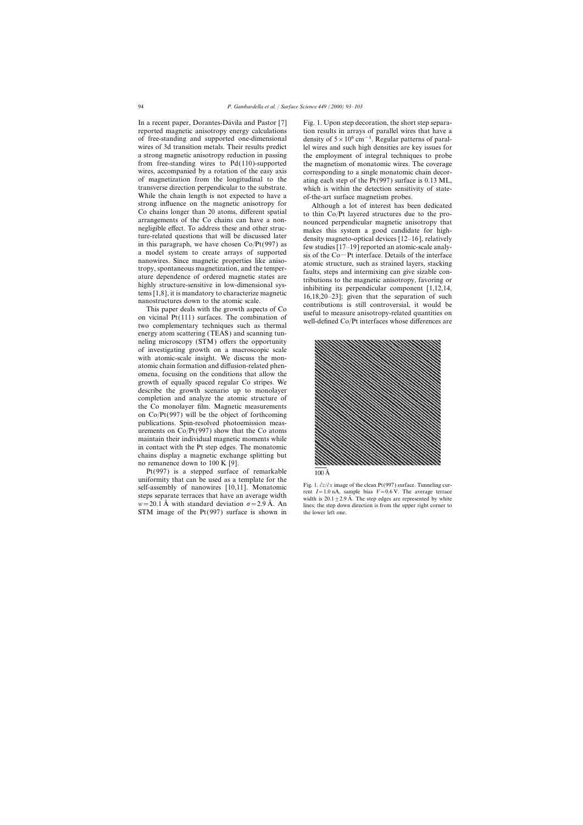In a recent paper, Dorantes-Dávila and Pastor [7] Fig. 1. Upon step decoration, the short step separa-While the chain length is not expected to have a of-the-art surface magnetism probes.<br>strong influence on the magnetic anisotropy for Although a lot of interest has been Strong influence on the magnetic anisotropy for<br>
Co chains longer than 20 atoms, different spatial<br>
a co thin Co/Pt layered structures due to the pro-<br>
arrangements of the Co chains can have a non-<br>
negligible effect. To a

energy atom scattering (TEAS) and scanning tunneling microscopy (STM) offers the opportunity of investigating growth on a macroscopic scale with atomic-scale insight. We discuss the monatomic chain formation and diffusion-related phenomena, focusing on the conditions that allow the growth of equally spaced regular Co stripes. We describe the growth scenario up to monolayer completion and analyze the atomic structure of the Co monolayer film. Magnetic measurements on Co/Pt(997) will be the object of forthcoming publications. Spin-resolved photoemission measurements on  $Co/Pt(997)$  show that the Co atoms maintain their individual magnetic moments while in contact with the Pt step edges. The monatomic chains display a magnetic exchange splitting but no remanence down to 100 K [9].

Pt(997) is a stepped surface of remarkable uniformity that can be used as a template for the<br>self-assembly of nanowires [10,11]. Monatomic<br>steps separate terraces that have an average width<br> $w = 20.1 \text{ Å}$  with standard deviation  $\sigma = 2.9 \text{ Å}$ . An lines: the step STM image of the  $Pt(997)$  surface is shown in the lower left one.

reported magnetic anisotropy energy calculations tion results in arrays of parallel wires that have a of free-standing and supported one-dimensional density of  $5 \times 10^6$  cm<sup>-1</sup>. Regular patterns of paralwires of 3d transition metals. Their results predict lel wires and such high densities are key issues for a strong magnetic anisotropy reduction in passing the employment of integral techniques to probe from free-standing wires to  $Pd(110)$ -supported the magnetism of monatomic wires. The coverage wires, accompanied by a rotation of the easy axis corresponding to a single monatomic chain decorwires, accompanied by a rotation of the easy axis corresponding to a single monatomic chain decor-<br>of magnetization from the longitudinal to the  $\frac{1}{100}$  at the sach step of the Pt(997) surface is 0.13 ML of magnetization from the longitudinal to the ating each step of the Pt(997) surface is 0.13 ML,<br>transverse direction perpendicular to the substrate. which is within the detection sensitivity of statewhich is within the detection sensitivity of state-

manowires. Since magnetic properties like aniso-<br>tropy, spontaneous magnetization, and the temper-<br>ature dependence of ordered magnetic states are<br>highly structure-sensitive in low-dimensional sys-<br>tems [1,8], it is mandat



*lines*; the step down direction is from the upper right corner to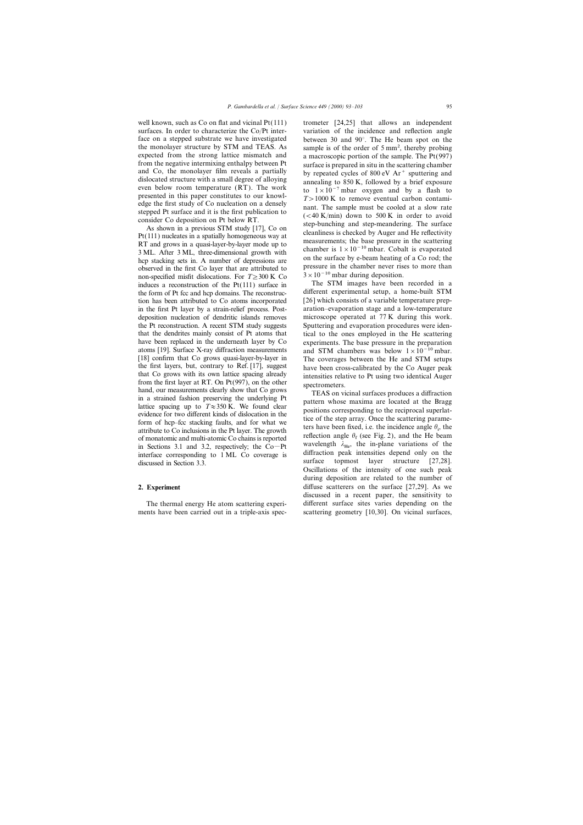well known, such as Co on flat and vicinal  $Pt(111)$  trometer  $[24,25]$  that allows an independent face on a stepped substrate we have investigated between 30 and 90°. The He beam spot on the the monolayer structure by STM and TEAS. As sample is of the order of 5 mm<sup>2</sup>, thereby probing expected from the strong lattice mismatch and a macroscopic portion of the sample. The  $Pt(997)$ <br>from the negative intermixing enthalpy between Pt surface is prepared in situ in the scattering chamber

non-specified misfit dislocations. For  $T \geq 300 \text{ K}$  Co  $3 \times 10^{-10}$  mbar during deposition.<br>3<sup>2</sup> 3×10<sup>-10</sup> mbar during deposition. The STM images have been recorded in a induces a reconstruction of the Pt(111) surface in The STM images have been recorded in a<br>the form of Pt fcc and hen domains The reconstructure different experimental setup, a home-built STM the form of Pt fcc and hcp domains. The reconstruction has been attributed to Co atoms incorporated [26] which consists of a variable temperature prepin the first Pt layer by a strain-relief process. Post- aration–evaporation stage and a low-temperature deposition nucleation of dendritic islands removes microscope operated at 77 K during this work. the Pt reconstruction. A recent STM study suggests Sputtering and evaporation procedures were identhat the dendrites mainly consist of Pt atoms that tical to the ones employed in the He scattering have been replaced in the underneath layer by Co experiments. The base pressure in the preparation atoms [19]. Surface X-ray diffraction measurements and STM chambers was below  $1 \times 10^{-10}$  mbar.<br>[18] confirm that Co grows quasi-layer-by-layer in The coverages between the He and STM seture [18] confirm that Co grows quasi-layer-by-layer in The coverages between the He and STM setups the first layers, but, contrary to Ref. [17], suggest have been cross-calibrated by the Co Auger peak the first layers, but, contrary to Ref. [17], suggest<br>
that Co grows with its own lattice spacing already<br>
from the first layer at RT. On Pt(997), on the other<br>
hand, our measurements clearly show that Co grows<br>
in a stra term of the presention is in the Pt layer. The growth<br>of monatomic and multi-atomic Co chains is reported<br>reflection angle  $\theta_f$  (see Fig. 2), and the He beam of monatomic and multi-atomic Co chains is reported<br>in Sections 3.1 and 3.2, respectively; the Co-Pt<br>attraction goals intensities depend only on the in Sections 3.1 and 3.2, respectively; the Co-Pt<br>interface corresponding to 1 ML Co coverage is diffraction peak intensities depend only on the<br>discussed in Section 3.3.<br>diffraction surface topmost layer structure [27,28]

surfaces. In order to characterize the Co/Pt inter-<br>variation of the incidence and reflection angle sample is of the order of  $5 \text{ mm}^2$ , thereby probing from the negative intermixing enthalpy between Pt<br>and Co, the moolayer film reveals a partially<br>by repeated cycles of 800 eV Ar<sup>+</sup> sputtering and<br>dislocated structure with a small degree of alloying<br>even below room temper

Oscillations of the intensity of one such peak during deposition are related to the number of **2. Experiment** diffuse scatterers on the surface [27,29]. As we discussed in a recent paper, the sensitivity to The thermal energy He atom scattering experi- different surface sites varies depending on the ments have been carried out in a triple-axis spec-<br>scattering geometry [10,30]. On vicinal surfaces,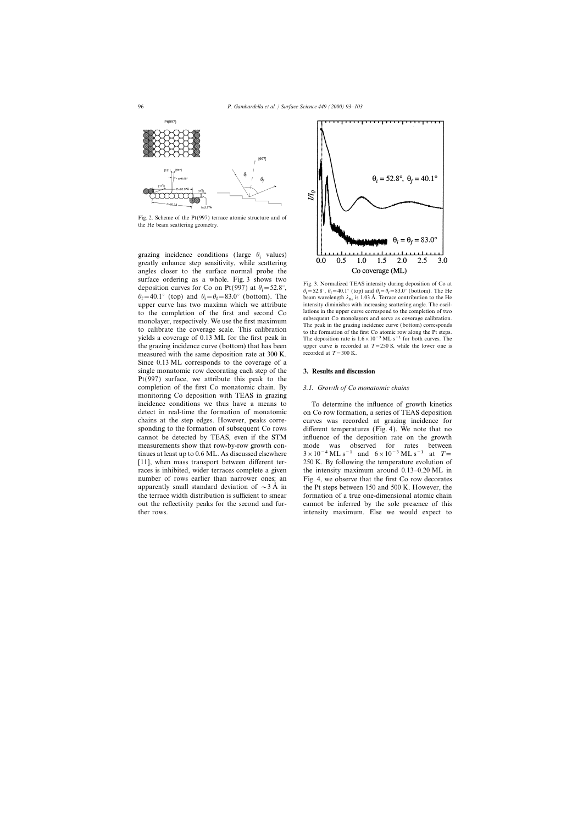

Fig. 2. Scheme of the Pt(997) terrace atomic structure and of the He beam scattering geometry.

grazing incidence conditions (large  $\theta_i$  values) greatly enhance step sensitivity, while scattering angles closer to the surface normal probe the surface ordering as a whole. Fig. 3 shows two Fig. 3. Normalized TEAS intensity during deposition of Co at  $\frac{1}{2}$ i deposition curves for Co on Pt(997) at  $\theta_i = 52.8^\circ$ ,  $\theta_f = 40.1^{\circ}$  (top) and  $\theta_i = \theta_f = 83.0^{\circ}$  (bottom). The beam wavelength  $\lambda$ f f i to the completion of the first and second Co<br>monolayer, respectively. We use the first maximum<br>to calibrate the coverage scale. This calibration<br>to the formation of the first Co atomic row along the Pt steps.<br>yields a cov the grazing incidence curve (bottom) that has been upper curve is recorded at  $T = 250$  K while the lower one is measured with the same denosition rate at 300 K measured with the same deposition rate at 300 K. Since 0.13 ML corresponds to the coverage of a single monatomic row decorating each step of the **3. Results and discussion** Pt(997) surface, we attribute this peak to the completion of the first Co monatomic chain. By *3.1. Growth of Co monatomic chains* monitoring Co deposition with TEAS in grazing incidence conditions we thus have a means to To determine the influence of growth kinetics tinues at least up to 0.6 ML. As discussed elsewhere  $3 \times 10^{-4}$  ML s<sup>-1</sup> and  $6 \times 10^{-3}$  ML s<sup>-1</sup> at  $T=$ 



 $\frac{f_1 - f_2}{f_1 - f_2}$ ,  $\frac{f_1 - f_2}{f_2 - f_1}$  (to  $\frac{f_1 - f_2}{f_1 - f_2}$  . Terrace contribution to the He =52.8°,  $\theta_f$ =40.1° (top) and  $\theta_i = \theta_f = 83.0$ ° (bottom). The He intensity diminishes with increasing scattering angle. The oscil-The deposition rate is  $1.6 \times 10^{-3}$  ML s<sup>−1</sup> for both curves. The

detect in real-time the formation of monatomic on Co row formation, a series of TEAS deposition chains at the step edges. However, peaks corre- curves was recorded at grazing incidence for sponding to the formation of subsequent Co rows different temperatures (Fig. 4). We note that no cannot be detected by TEAS, even if the STM influence of the deposition rate on the growth measurements show that row-by-row growth con- mode was observed for rates between [11], when mass transport between different ter- 250 K. By following the temperature evolution of races is inhibited, wider terraces complete a given the intensity maximum around 0.13–0.20 ML in number of rows earlier than narrower ones; an Fig. 4, we observe that the first Co row decorates apparently small standard deviation of  $\sim$ 3 Å in the Pt steps between 150 and 500 K. However, the the terrace width distribution is sufficient to smear formation of a true one-dimensional atomic chain out the reflectivity peaks for the second and fur- cannot be inferred by the sole presence of this ther rows. intensity maximum. Else we would expect to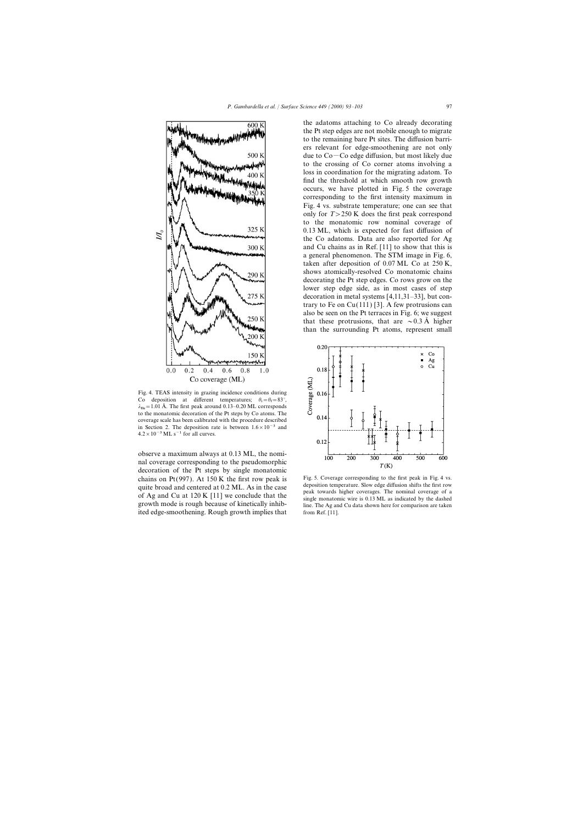

Fig. 4. TEAS intensity in grazing incidence conditions during Co deposition at different temperatures;  $\theta_i = \theta_f = 83^\circ$ ,  $\lambda_{\text{He}} = 1.01 \text{ Å}$ . The first peak around 0.13–0.20 ML corresponds<br> $\lambda_{\text{He}} = 1.01 \text{ Å}$ . The first peak around 0.13–0.20 ML corresponds to the monatomic decoration of the Pt steps by Co atoms. The coverage scale has been calibrated with the procedure described in Section 2. The deposition rate is between  $1.6 \times 10^{-3}$  and  $4.2 \times 10^{-3}$  ML s<sup>-1</sup> for all curves.

observe a maximum always at 0.13 ML, the nominal coverage corresponding to the pseudomorphic decoration of the Pt steps by single monatomic chains on Pt(997). At 150 K the first row peak is Fig. 5. Coverage corresponding to the first peak in Fig. 4 vs.<br>
cuite broad and centered at 0.2 ML As in the case deposition temperature. Slow edge diffusion shifts the fi ited edge-smoothening. Rough growth implies that from Ref. [11].

the adatoms attaching to Co already decorating the Pt step edges are not mobile enough to migrate to the remaining bare Pt sites. The diffusion barriers relevant for edge-smoothening are not only due to  $Co$  - Co edge diffusion, but most likely due to the crossing of Co corner atoms involving a loss in coordination for the migrating adatom. To find the threshold at which smooth row growth occurs, we have plotted in Fig. 5 the coverage corresponding to the first intensity maximum in Fig. 4 vs. substrate temperature; one can see that only for *T*>250 K does the first peak correspond to the monatomic row nominal coverage of 0.13 ML, which is expected for fast diffusion of the Co adatoms. Data are also reported for Ag and Cu chains as in Ref. [11] to show that this is a general phenomenon. The STM image in Fig. 6, taken after deposition of 0.07 ML Co at 250 K, shows atomically-resolved Co monatomic chains decorating the Pt step edges. Co rows grow on the lower step edge side, as in most cases of step decoration in metal systems [4,11,31–33], but contrary to Fe on  $Cu(111)$  [3]. A few protrusions can also be seen on the Pt terraces in Fig. 6; we suggest that these protrusions, that are  $\sim 0.3 \text{ Å}$  higher than the surrounding Pt atoms, represent small



quite broad and centered at 0.2 ML. As in the case<br>of Ag and Cu at 120 K [11] we conclude that the<br>growth mode is rough because of kinetically inhib-<br>growth mode is rough because of kinetically inhib-<br>line. The Ag and Cu d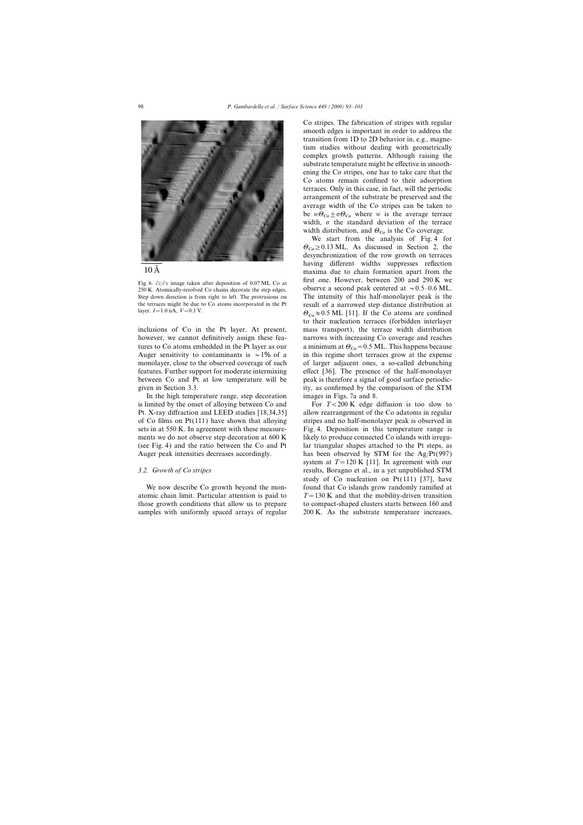



250 K. Atomically-resolved Co chains decorate the step edges.

In the high temperature range, step decoration images in Figs. 7a and 8. is limited by the onset of alloying between Co and For *T*<200 K edge diffusion is too slow to

Co stripes. The fabrication of stripes with regular smooth edges is important in order to address the transition from 1D to 2D behavior in, e.g., magnetism studies without dealing with geometrically complex growth patterns. Although raising the substrate temperature might be effective in smoothening the Co stripes, one has to take care that the Co atoms remain confined to their adsorption terraces. Only in this case, in fact, will the periodic arrangement of the substrate be preserved and the average width of the Co stripes can be taken to be  $w\theta_{\text{Co}} \pm \sigma \theta_{\text{Co}}$  where *w* is the average terrace width,  $\sigma$  the standard deviation of the terrace width distribution, and  $\Theta_{\text{Co}}$  is the Co coverage.

We start from the analysis of Fig. 4 for  $\Theta_{\text{Co}} \geq 0.13 \text{ ML}$ . As discussed in Section 2, the desynchronization of the row growth on terraces having different widths suppresses reflection maxima due to chain formation apart from the Fig. 6.  $\partial z/\partial x$  image taken after deposition of 0.07 ML Co at first one. However, between 200 and 290 K we Fig. 6.  $\partial z/\partial x$  image taken after deposition of 0.07 ML Co at  $\partial z/\partial x$  is a second peak centered at  $\sim 0.5-0.6$ Step down direction is from right to left. The protrusions on The intensity of this half-monolayer peak is the the terraces might be due to Co atoms incorporated in the Pt result of a narrowed step distance distribution at layer. *I*=1.0 nA, *V*=0.1 V.  $\theta_{\text{Co}} \approx 0.5 \text{ ML}$  [11]. If the Co atoms are confined to their nucleation terraces (forbidden interlayer inclusions of Co in the Pt layer. At present, mass transport), the terrace width distribution however, we cannot definitively assign these fea-<br>narrows with increasing Co coverage and reaches tures to Co atoms embedded in the Pt layer as our a minimum at  $\theta_{\text{Co}} = 0.5$  ML. This happens because<br>Auger sensitivity to contaminants is  $\sim 1\%$  of a in this regime short terraces grow at the expense in this regime short terraces grow at the expense monolayer, close to the observed coverage of such of larger adjacent ones, a so-called debunching features. Further support for moderate intermixing effect [36]. The presence of the half-monolayer between Co and Pt at low temperature will be peak is therefore a signal of good surface periodicgiven in Section 3.3. ity, as confirmed by the comparison of the STM

Pt. X-ray diffraction and LEED studies [18,34,35] allow rearrangement of the Co adatoms in regular of Co films on Pt(111) have shown that alloying stripes and no half-monolayer peak is observed in sets in at 550 K. In agreement with these measure- Fig. 4. Deposition in this temperature range is ments we do not observe step decoration at 600 K likely to produce connected Co islands with irregu-(see Fig. 4) and the ratio between the Co and Pt lar triangular shapes attached to the Pt steps, as Auger peak intensities decreases accordingly. has been observed by STM for the Ag/Pt(997) system at  $T = 120$  K [11]. In agreement with our *3.2. Growth of Co stripes* results, Boragno et al., in a yet unpublished STM study of Co nucleation on  $Pt(111)$  [37], have We now describe Co growth beyond the mon-<br>found that Co islands grow randomly ramified at atomic chain limit. Particular attention is paid to  $T=130$  K and that the mobility-driven transition those growth conditions that allow us to prepare to compact-shaped clusters starts between 160 and samples with uniformly spaced arrays of regular 200 K. As the substrate temperature increases,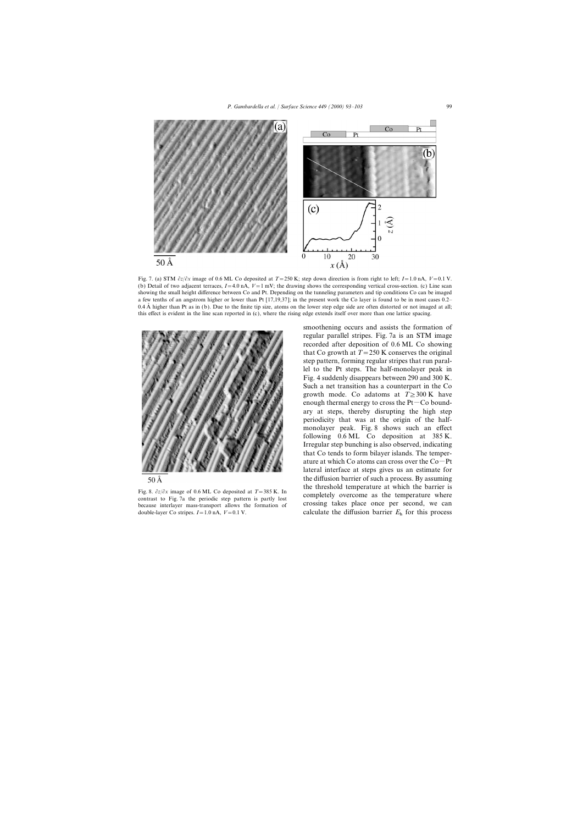

Fig. 7. (a) STM ∂*z*/∂*x* image of 0.6 ML Co deposited at *T*=250 K; step down direction is from right to left; *I*=1.0 nA, *V*=0.1 V. (b) Detail of two adjacent terraces,  $I = 4.0$  nA,  $V = 1$  mV; the drawing shows the corresponding vertical cross-section. (c) Line scan showing the small height difference between Co and Pt. Depending on the tunneling parameters and tip conditions Co can be imaged a few tenths of an angstrom higher or lower than Pt [17,19,37]; in the present work the Co layer is found to be in most cases 0.2– 0.4 Å higher than Pt as in (b). Due to the finite tip size, atoms on the lower step edge side are often distorted or not imaged at all; this effect is evident in the line scan reported in (c), where the rising edge extends itself over more than one lattice spacing.



 $50\,\mathrm{\AA}$ 

because interlayer mass-transport allows the formation of crossing takes place once per second, we can double-layer Co stripes.  $I = 1.0$  nA,  $V = 0.1$  V. calculate the diffusion barrier  $E<sub>h</sub>$  for this process

smoothening occurs and assists the formation of regular parallel stripes. Fig. 7a is an STM image recorded after deposition of 0.6 ML Co showing that Co growth at  $T = 250$  K conserves the original step pattern, forming regular stripes that run parallel to the Pt steps. The half-monolayer peak in Fig. 4 suddenly disappears between 290 and 300 K. Such a net transition has a counterpart in the Co growth mode. Co adatoms at  $T \geq 300 \text{ K}$  have enough thermal energy to cross the  $Pt-Co$  boundary at steps, thereby disrupting the high step periodicity that was at the origin of the halfmonolayer peak. Fig. 8 shows such an effect following 0.6 ML Co deposition at 385 K. Irregular step bunching is also observed, indicating that Co tends to form bilayer islands. The temperature at which Co atoms can cross over the  $Co-Pt$ lateral interface at steps gives us an estimate for the diffusion barrier of such a process. By assuming Fig. 8.  $\partial z/\partial x$  image of 0.6 ML Co deposited at  $T = 385$  K. In the threshold temperature at which the barrier is contrast to Fig. 7a the periodic step pattern is partly lost completely overcome as the temperature where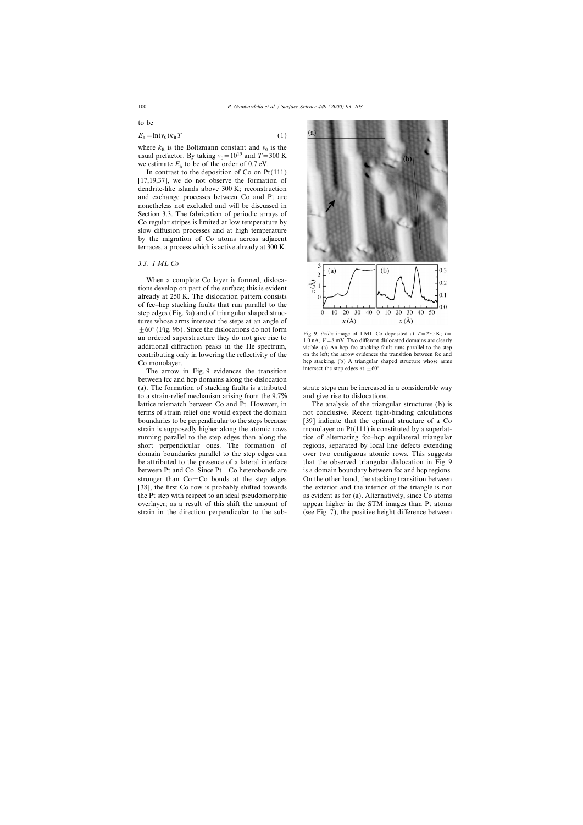to be

$$
E_{\rm h} = \ln(v_0) k_{\rm B} T \tag{1}
$$

where  $k_B$  is the Boltzmann constant and  $v_0$  is the usual profector. By taking  $v_0 = 10^{13}$  and  $T = 200 V$ usual prefactor. By taking  $v_0 = 10^{13}$  and  $T = 300$  K we estimate  $E_h$  to be of the order of 0.7 eV.<br>In contrast to the denomination of  $C_0$  on  $P$ .

In contrast to the deposition of Co on Pt(111) [17,19,37], we do not observe the formation of dendrite-like islands above 300 K; reconstruction and exchange processes between Co and Pt are nonetheless not excluded and will be discussed in Section 3.3. The fabrication of periodic arrays of Co regular stripes is limited at low temperature by slow diffusion processes and at high temperature by the migration of Co atoms across adjacent terraces, a process which is active already at 300 K.

# *3.3. 1 ML Co*

When a complete Co layer is formed, dislocations develop on part of the surface; this is evident already at 250 K. The dislocation pattern consists of fcc–hcp stacking faults that run parallel to the step edges (Fig. 9a) and of triangular shaped structures whose arms intersect the steps at an angle of  $\pm 60^{\circ}$  (Fig. 9b). Since the dislocations do not form<br>an ordered superstructure they do not give rise to<br> $\frac{\text{Fig. 9. } \partial z}{\partial x}$  image of 1 ML Co deposited at  $T = 250 \text{ K}$ ;  $I =$ <br> $\frac{1.0 \text{ nA}}{1.0 \text{ nA}}$ ,  $V = 8 \text{ mV}$ .

The arrow in Fig. 9 evidences the transition between fcc and hcp domains along the dislocation (a). The formation of stacking faults is attributed strate steps can be increased in a considerable way to a strain-relief mechanism arising from the 9.7% and give rise to dislocations. lattice mismatch between Co and Pt. However, in The analysis of the triangular structures (b) is terms of strain relief one would expect the domain not conclusive. Recent tight-binding calculations boundaries to be perpendicular to the steps because [39] indicate that the optimal structure of a Co strain is supposedly higher along the atomic rows monolayer on  $Pt(111)$  is constituted by a superlatrunning parallel to the step edges than along the tice of alternating fcc–hcp equilateral triangular short perpendicular ones. The formation of regions, separated by local line defects extending domain boundaries parallel to the step edges can over two contiguous atomic rows. This suggests be attributed to the presence of a lateral interface that the observed triangular dislocation in Fig. 9 between Pt and Co. Since  $Pt$   $\sim$  Co heterobonds are is a domain boundary between fcc and hcp regions. stronger than  $Co$ — $Co$  bonds at the step edges  $O$  on the other hand, the stacking transition between [38], the first Co row is probably shifted towards the exterior and the interior of the triangle is not the Pt step with respect to an ideal pseudomorphic as evident as for (a). Alternatively, since Co atoms overlayer; as a result of this shift the amount of appear higher in the STM images than Pt atoms strain in the direction perpendicular to the sub- (see Fig. 7), the positive height difference between



additional diffraction peaks in the He spectrum, visible. (a) An hcp–fcc stacking fault runs parallel to the step contributing only in lowering the reflectivity of the on the left; the arrow evidences the transition between fcc and Co monolayer.<br>
The error in Fig. 0 evidences the trensition intersect the step edges at  $\pm 60^{\circ}$ .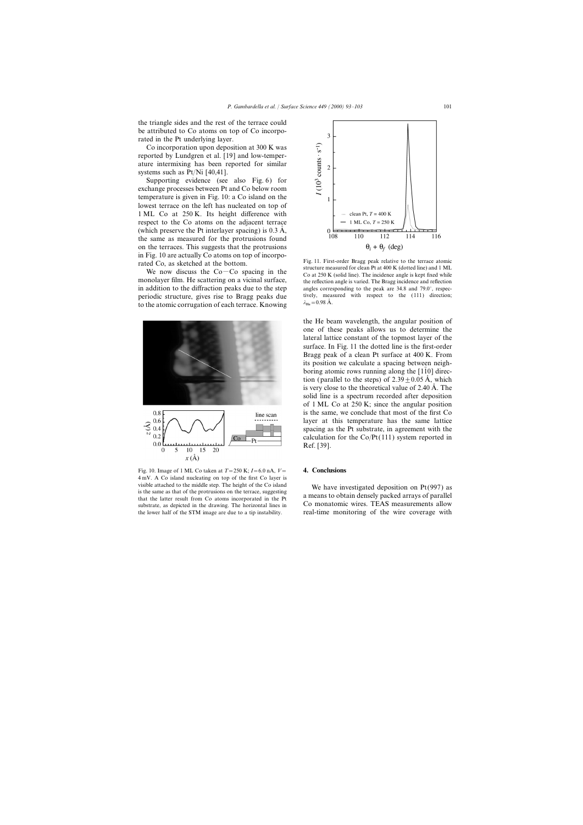the triangle sides and the rest of the terrace could be attributed to Co atoms on top of Co incorporated in the Pt underlying layer.

Co incorporation upon deposition at 300 K was reported by Lundgren et al. [19] and low-temperature intermixing has been reported for similar systems such as Pt/Ni [40,41].

Supporting evidence (see also Fig. 6) for exchange processes between Pt and Co below room temperature is given in Fig. 10: a Co island on the lowest terrace on the left has nucleated on top of 1 ML Co at 250 K. Its height difference with respect to the Co atoms on the adjacent terrace (which preserve the Pt interlayer spacing) is  $0.3 \text{ Å}$ , the same as measured for the protrusions found on the terraces. This suggests that the protrusions

to the atomic corrugation of each terrace. Knowing



Fig. 10. Image of 1 ML Co taken at  $T = 250$  K;  $I = 6.0$  nA,  $V =$  **4. Conclusions** 4 mV. A Co island nucleating on top of the first Co layer is visible attached to the middle step. The height of the Co island<br>is the same as that of the protrusions on the terrace, suggesting<br>that the latter result from Co atoms incorporated in the Pt and the atter result from Co a



in Fig. 10 are actually Co atoms on top of incorpo-<br>rated Co, as sketched at the bottom.<br>We now discuss the Co-Co spacing in the monolayer film. He scattering on a vicinal surface,<br>monolayer film. He scattering on a vicin the reflection angle is varied. The Bragg incidence and reflection in addition to the diffraction peaks due to the step angles corresponding to the peak are 34.8 and 79.0°, respecperiodic structure, gives rise to Bragg peaks due tively, measured with respect to the (111) direction;  $\lambda_{\text{He}} = 0.98$  Å.

the He beam wavelength, the angular position of one of these peaks allows us to determine the lateral lattice constant of the topmost layer of the surface. In Fig. 11 the dotted line is the first-order Bragg peak of a clean Pt surface at 400 K. From its position we calculate a spacing between neighboring atomic rows running along the  $[1\bar{1}0]$  direction (parallel to the steps) of  $2.39 \pm 0.05$  Å, which is very close to the theoretical value of  $2.40 \text{ Å}$ . The solid line is a spectrum recorded after deposition of 1 ML Co at 250 K; since the angular position is the same, we conclude that most of the first Co layer at this temperature has the same lattice spacing as the Pt substrate, in agreement with the calculation for the  $Co/Pt(111)$  system reported in Ref. [39].

substrate, as depicted in the drawing. The horizontal lines in Co monatomic wires. TEAS measurements allow the lower half of the STM image are due to a tip instability. real-time monitoring of the wire coverage with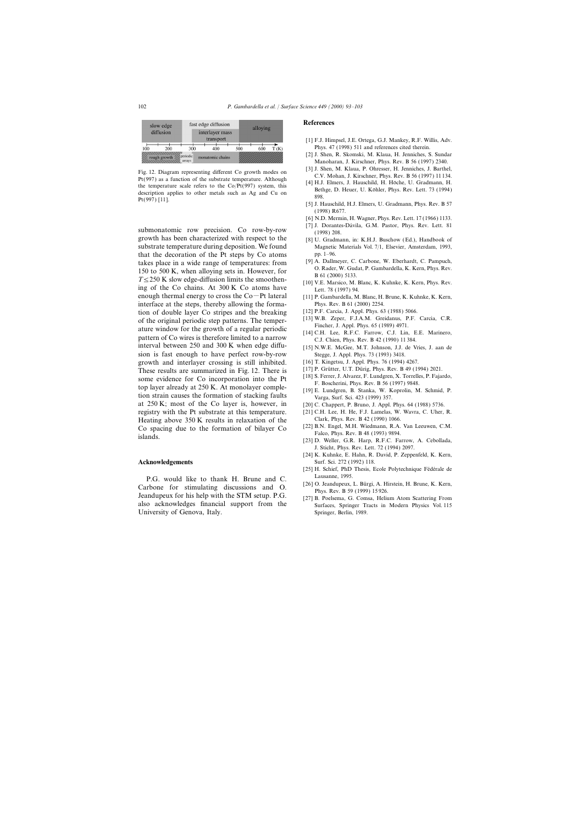

Fig. 12. Diagram representing different Co growth modes on Pt(997) as a function of the substrate temperature. Although<br>Pt(997) as a function of the substrate temperature. Although<br>the temperature scale refers to the Co/Pt

growth has been characterized with respect to the  $[8]$  U. Gradmann, in: K.H.J. Buschow (Ed.), Handbook of substrate temperature during deposition. We found Magnetic Materials Vol. 7/1, Elsevier, Amsterdam, 1993, that the decoration of the Pt steps by Co atoms pp. 1–96.<br>takes place in a wide range of temperatures: from [9] A. Dallmeyer, C. Carbone, W. Eberhardt, C. Pampuch, takes place in a wide range of temperatures: from  $T \le 250$  K slow edge-diffusion limits the smoothen-<br>ISO to 500 K, when alloying sets in. However, for  $T \le 250$  K slow edge-diffusion limits the smoothen-<br>Ing of the Co c enough thermal energy to cross the  $Co-Pt$  lateral [11] P. Gambardella, M. Blanc, H. Brune, K. Kuhnke, K. Kern, interface at the steps, thereby allowing the forma- Phys. Rev. B 61 (2000) 2254. tion of double layer Co stripes and the breaking [12] P.F. Carcia, J. Appl. Phys. 63 (1988) 5066.<br>
of the original periodic step patterns The temper. [13] W.B. Zeper, F.J.A.M. Greidanus, P.F. Carcia, C.R. of the original periodic step patterns. The temper-<br>ature window for the growth of a regular periodic<br>pattern of Co wires is therefore limited to a narrow [14] C.H. Lee, R.F.C. Farrow, C.J. Lin, E.E. Marinero,<br>C.J. Chien, interval between 250 and 300 K when edge diffu- [15] N.W.E. McGee, M.T. Johnson, J.J. de Vries, J. aan de sion is fast enough to have perfect row-by-row Stegge, J. Appl. Phys. 73 (1993) 3418. growth and interlayer crossing is still inhibited. [16] T. Kingetsu, J. Appl. Phys. 76 (1994) 4267.<br>These results are summarized in Fig. 12. There is [17] P. Grütter, U.T. Dürig, Phys. Rev. B 49 (1994) 2021. These results are summarized in Fig. 12. There is [17] P. Grütter, U.T. Dürig, Phys. Rev. B 49 (1994) 2021.<br>
Serrer, J. Alvarez, F. Lundgren, X. Torrelles, P. Fajardo, some evidence for Co incorporation into the Pt<br>top layer already at 250 K. At monolayer comple-<br>top layer already at 250 K. At monolayer comple-<br>tion strain causes the formation of stacking faults<br> $\begin{bmatrix} 18 \text{ J} \text{ S} \cdot \text{$ at 250 K; most of the Co layer is, however, in [20] C. Chappert, P. Bruno, J. Appl. Phys. 64 (1988) 5736. registry with the Pt substrate at this temperature. [21] C.H. Lee, H. He, F.J. Lamelas, W. Wavra, C. Uher, R.<br>Heating above 350 K results in relaxation of the Clark, Phys. Rev. B 42 (1990) 1066. Heating above 350 K results in relaxation of the Clark, Phys. Rev. B 42 (1990) 1066.<br>Co spacing due to the formation of bilayer Co. [22] B.N. Engel, M.H. Wiedmann, R.A. Van Leeuwen, C.M. Co spacing due to the formation of bilayer Co Falco, Phys. Rev. B 48 (1993) 9894.<br>
Falco, Phys. Rev. B 48 (1993) 9894.<br>
[23] D. Weller, G.R. Harp, R.F.C. Farrow, A. Cebollada,

P.G. would like to thank H. Brune and C. Lausanne, 1995.<br>
[26] O. Jeandupeux, L. Bürgi, A. Hirstein, H. Brune, K. Kern, Carbone for stimulating discussions and O.<br>Jeandupeux for his help with the STM setup. P.G. [27] B. Poelsema, G. Comsa, Helium Atom Scattering From University of Genova, Italy. Springer, Berlin, 1989.

### **References**

- [1] F.J. Himpsel, J.E. Ortega, G.J. Mankey, R.F. Willis, Adv. Phys. 47 (1998) 511 and references cited therein.
- [2] J. Shen, R. Skomski, M. Klaua, H. Jenniches, S. Sundar Manoharan, J. Kirschner, Phys. Rev. B 56 (1997) 2340.
- 
- 
- (1998) R677.
- [6] N.D. Mermin, H. Wagner, Phys. Rev. Lett. 17 (1966) 1133.
- submonatomic row precision. Co row-by-row [7] J. Dorantes-Dávila, G.M. Pastor, Phys. Rev. Lett. 81
	-
	-
	-
	-
	-
	-
	-
	-
	-
	-
	-
	-
	-
	-
	-
	- J. Sticht, Phys. Rev. Lett. 72 (1994) 2097.
- [24] K. Kuhnke, E. Hahn, R. David, P. Zeppenfeld, K. Kern, **Acknowledgements** Surf. Sci. 272 (1992) 118.
	- [25] H. Schief, PhD Thesis, Ecole Polytechnique Fédérale de
	-
- also acknowledges financial support from the Surfaces, Springer Tracts in Modern Physics Vol. 115